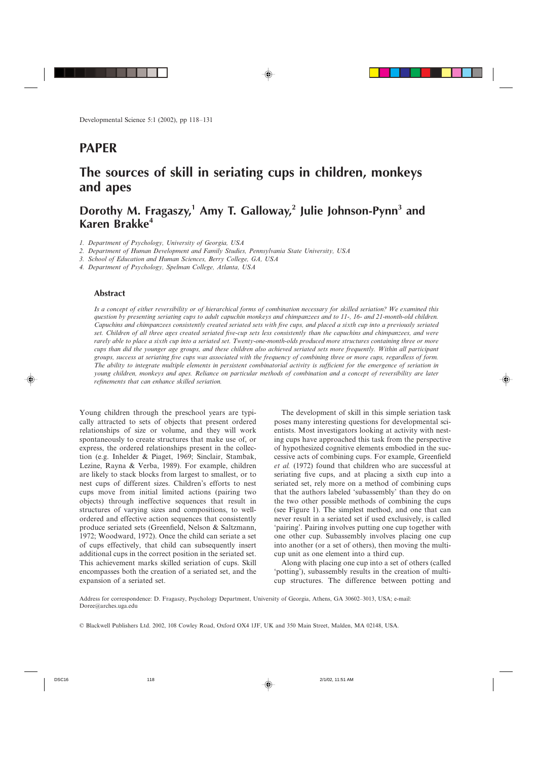## **PAPER**

# **The sources of skill in seriating cups in children, monkeys and apes**

## Dorothy M. Fragaszy,<sup>1</sup> Amy T. Galloway,<sup>2</sup> Julie Johnson-Pynn<sup>3</sup> and **Karen Brakke<sup>4</sup>**

*1. Department of Psychology, University of Georgia, USA*

*2. Department of Human Development and Family Studies, Pennsylvania State University, USA*

*3. School of Education and Human Sciences, Berry College, GA, USA*

*4. Department of Psychology, Spelman College, Atlanta, USA*

## **Abstract**

*Is a concept of either reversibility or of hierarchical forms of combination necessary for skilled seriation? We examined this question by presenting seriating cups to adult capuchin monkeys and chimpanzees and to 11-, 16- and 21-month-old children. Capuchins and chimpanzees consistently created seriated sets with five cups, and placed a sixth cup into a previously seriated set. Children of all three ages created seriated five-cup sets less consistently than the capuchins and chimpanzees, and were rarely able to place a sixth cup into a seriated set. Twenty-one-month-olds produced more structures containing three or more cups than did the younger age groups, and these children also achieved seriated sets more frequently. Within all participant groups, success at seriating five cups was associated with the frequency of combining three or more cups, regardless of form. The ability to integrate multiple elements in persistent combinatorial activity is sufficient for the emergence of seriation in young children, monkeys and apes. Reliance on particular methods of combination and a concept of reversibility are later refinements that can enhance skilled seriation.*

Young children through the preschool years are typically attracted to sets of objects that present ordered relationships of size or volume, and they will work spontaneously to create structures that make use of, or express, the ordered relationships present in the collection (e.g. Inhelder & Piaget, 1969; Sinclair, Stambak, Lezine, Rayna & Verba, 1989). For example, children are likely to stack blocks from largest to smallest, or to nest cups of different sizes. Children's efforts to nest cups move from initial limited actions (pairing two objects) through ineffective sequences that result in structures of varying sizes and compositions, to wellordered and effective action sequences that consistently produce seriated sets (Greenfield, Nelson & Saltzmann, 1972; Woodward, 1972). Once the child can seriate a set of cups effectively, that child can subsequently insert additional cups in the correct position in the seriated set. This achievement marks skilled seriation of cups. Skill encompasses both the creation of a seriated set, and the expansion of a seriated set.

The development of skill in this simple seriation task poses many interesting questions for developmental scientists. Most investigators looking at activity with nesting cups have approached this task from the perspective of hypothesized cognitive elements embodied in the successive acts of combining cups. For example, Greenfield *et al.* (1972) found that children who are successful at seriating five cups, and at placing a sixth cup into a seriated set, rely more on a method of combining cups that the authors labeled 'subassembly' than they do on the two other possible methods of combining the cups (see Figure 1). The simplest method, and one that can never result in a seriated set if used exclusively, is called 'pairing'. Pairing involves putting one cup together with one other cup. Subassembly involves placing one cup into another (or a set of others), then moving the multicup unit as one element into a third cup.

Along with placing one cup into a set of others (called 'potting'), subassembly results in the creation of multicup structures. The difference between potting and

Address for correspondence: D. Fragaszy, Psychology Department, University of Georgia, Athens, GA 30602–3013, USA; e-mail: Doree@arches.uga.edu

© Blackwell Publishers Ltd. 2002 © Blackwell Publishers Ltd. 2002, 108 Cowley Road, Oxford OX4 1JF, UK and 350 Main Street, Malden, MA 02148, USA.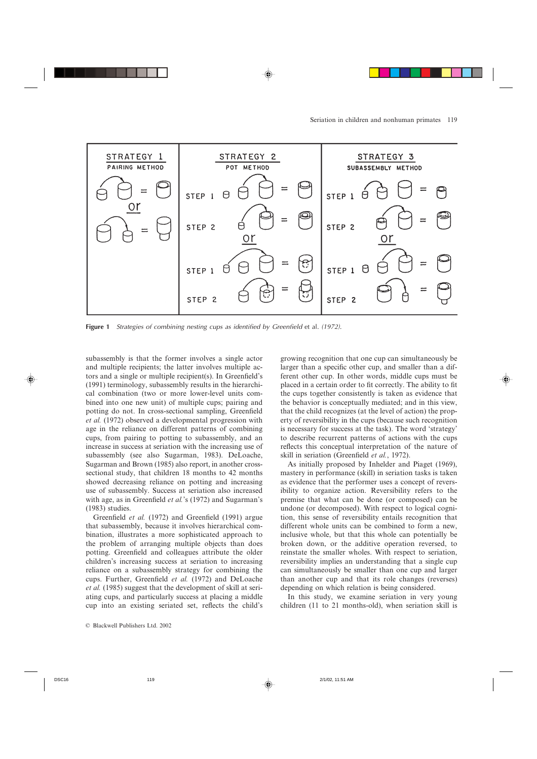

**Figure 1** Strategies of combining nesting cups as identified by Greenfield et al. (1972).

subassembly is that the former involves a single actor and multiple recipients; the latter involves multiple actors and a single or multiple recipient(s). In Greenfield's (1991) terminology, subassembly results in the hierarchical combination (two or more lower-level units combined into one new unit) of multiple cups; pairing and potting do not. In cross-sectional sampling, Greenfield *et al.* (1972) observed a developmental progression with age in the reliance on different patterns of combining cups, from pairing to potting to subassembly, and an increase in success at seriation with the increasing use of subassembly (see also Sugarman, 1983). DeLoache, Sugarman and Brown (1985) also report, in another crosssectional study, that children 18 months to 42 months showed decreasing reliance on potting and increasing use of subassembly. Success at seriation also increased with age, as in Greenfield *et al.*'s (1972) and Sugarman's (1983) studies.

Greenfield *et al.* (1972) and Greenfield (1991) argue that subassembly, because it involves hierarchical combination, illustrates a more sophisticated approach to the problem of arranging multiple objects than does potting. Greenfield and colleagues attribute the older children's increasing success at seriation to increasing reliance on a subassembly strategy for combining the cups. Further, Greenfield *et al.* (1972) and DeLoache *et al.* (1985) suggest that the development of skill at seriating cups, and particularly success at placing a middle cup into an existing seriated set, reflects the child's growing recognition that one cup can simultaneously be larger than a specific other cup, and smaller than a different other cup. In other words, middle cups must be placed in a certain order to fit correctly. The ability to fit the cups together consistently is taken as evidence that the behavior is conceptually mediated; and in this view, that the child recognizes (at the level of action) the property of reversibility in the cups (because such recognition is necessary for success at the task). The word 'strategy' to describe recurrent patterns of actions with the cups reflects this conceptual interpretation of the nature of skill in seriation (Greenfield *et al.*, 1972).

As initially proposed by Inhelder and Piaget (1969), mastery in performance (skill) in seriation tasks is taken as evidence that the performer uses a concept of reversibility to organize action. Reversibility refers to the premise that what can be done (or composed) can be undone (or decomposed). With respect to logical cognition, this sense of reversibility entails recognition that different whole units can be combined to form a new, inclusive whole, but that this whole can potentially be broken down, or the additive operation reversed, to reinstate the smaller wholes. With respect to seriation, reversibility implies an understanding that a single cup can simultaneously be smaller than one cup and larger than another cup and that its role changes (reverses) depending on which relation is being considered.

In this study, we examine seriation in very young children (11 to 21 months-old), when seriation skill is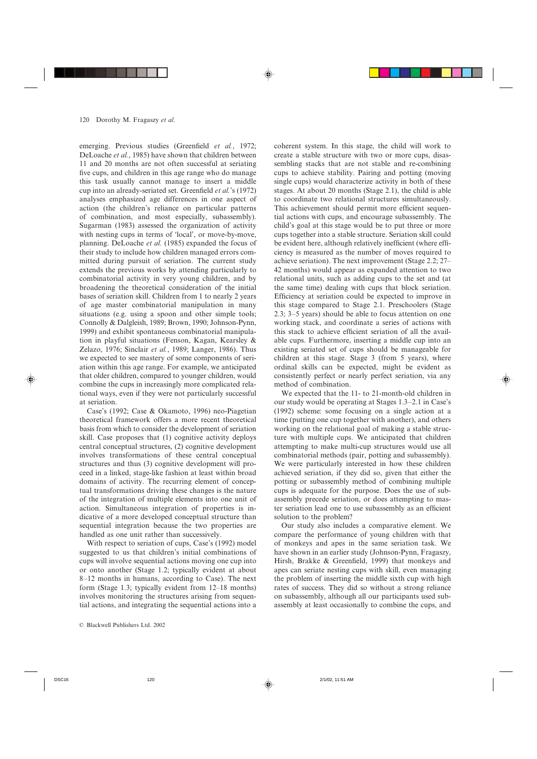emerging. Previous studies (Greenfield *et al.*, 1972; DeLoache *et al.*, 1985) have shown that children between 11 and 20 months are not often successful at seriating five cups, and children in this age range who do manage this task usually cannot manage to insert a middle cup into an already-seriated set. Greenfield *et al.*'s (1972) analyses emphasized age differences in one aspect of action (the children's reliance on particular patterns of combination, and most especially, subassembly). Sugarman (1983) assessed the organization of activity with nesting cups in terms of 'local', or move-by-move, planning. DeLoache *et al.* (1985) expanded the focus of their study to include how children managed errors committed during pursuit of seriation. The current study extends the previous works by attending particularly to combinatorial activity in very young children, and by broadening the theoretical consideration of the initial bases of seriation skill. Children from 1 to nearly 2 years of age master combinatorial manipulation in many situations (e.g. using a spoon and other simple tools; Connolly & Dalgleish, 1989; Brown, 1990; Johnson-Pynn, 1999) and exhibit spontaneous combinatorial manipulation in playful situations (Fenson, Kagan, Kearsley & Zelazo, 1976; Sinclair *et al.*, 1989; Langer, 1986). Thus we expected to see mastery of some components of seriation within this age range. For example, we anticipated that older children, compared to younger children, would combine the cups in increasingly more complicated relational ways, even if they were not particularly successful at seriation.

Case's (1992; Case & Okamoto, 1996) neo-Piagetian theoretical framework offers a more recent theoretical basis from which to consider the development of seriation skill. Case proposes that (1) cognitive activity deploys central conceptual structures, (2) cognitive development involves transformations of these central conceptual structures and thus (3) cognitive development will proceed in a linked, stage-like fashion at least within broad domains of activity. The recurring element of conceptual transformations driving these changes is the nature of the integration of multiple elements into one unit of action. Simultaneous integration of properties is indicative of a more developed conceptual structure than sequential integration because the two properties are handled as one unit rather than successively.

With respect to seriation of cups, Case's (1992) model suggested to us that children's initial combinations of cups will involve sequential actions moving one cup into or onto another (Stage 1.2; typically evident at about 8–12 months in humans, according to Case). The next form (Stage 1.3; typically evident from 12–18 months) involves monitoring the structures arising from sequential actions, and integrating the sequential actions into a

coherent system. In this stage, the child will work to create a stable structure with two or more cups, disassembling stacks that are not stable and re-combining cups to achieve stability. Pairing and potting (moving single cups) would characterize activity in both of these stages. At about 20 months (Stage 2.1), the child is able to coordinate two relational structures simultaneously. This achievement should permit more efficient sequential actions with cups, and encourage subassembly. The child's goal at this stage would be to put three or more cups together into a stable structure. Seriation skill could be evident here, although relatively inefficient (where efficiency is measured as the number of moves required to achieve seriation). The next improvement (Stage 2.2; 27– 42 months) would appear as expanded attention to two relational units, such as adding cups to the set and (at the same time) dealing with cups that block seriation. Efficiency at seriation could be expected to improve in this stage compared to Stage 2.1. Preschoolers (Stage 2.3; 3–5 years) should be able to focus attention on one working stack, and coordinate a series of actions with this stack to achieve efficient seriation of all the available cups. Furthermore, inserting a middle cup into an existing seriated set of cups should be manageable for children at this stage. Stage 3 (from 5 years), where ordinal skills can be expected, might be evident as consistently perfect or nearly perfect seriation, via any method of combination.

We expected that the 11- to 21-month-old children in our study would be operating at Stages 1.3–2.1 in Case's (1992) scheme: some focusing on a single action at a time (putting one cup together with another), and others working on the relational goal of making a stable structure with multiple cups. We anticipated that children attempting to make multi-cup structures would use all combinatorial methods (pair, potting and subassembly). We were particularly interested in how these children achieved seriation, if they did so, given that either the potting or subassembly method of combining multiple cups is adequate for the purpose. Does the use of subassembly precede seriation, or does attempting to master seriation lead one to use subassembly as an efficient solution to the problem?

Our study also includes a comparative element. We compare the performance of young children with that of monkeys and apes in the same seriation task. We have shown in an earlier study (Johnson-Pynn, Fragaszy, Hirsh, Brakke & Greenfield, 1999) that monkeys and apes can seriate nesting cups with skill, even managing the problem of inserting the middle sixth cup with high rates of success. They did so without a strong reliance on subassembly, although all our participants used subassembly at least occasionally to combine the cups, and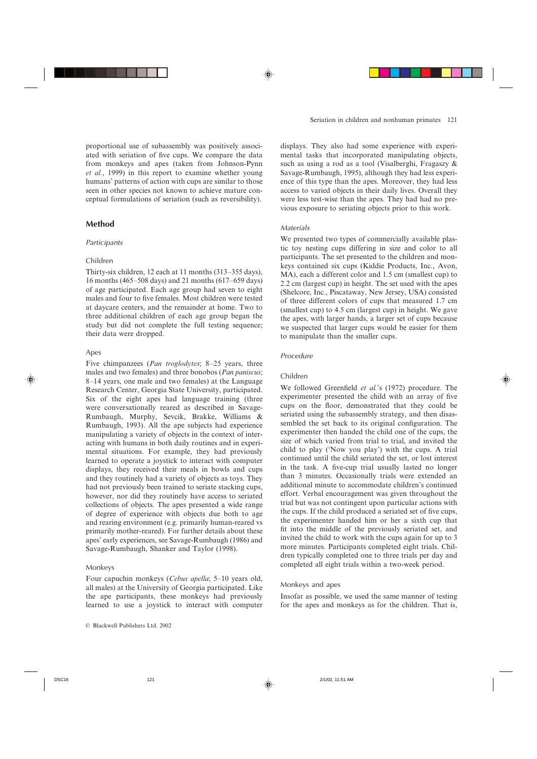proportional use of subassembly was positively associated with seriation of five cups. We compare the data from monkeys and apes (taken from Johnson-Pynn *et al.*, 1999) in this report to examine whether young humans' patterns of action with cups are similar to those seen in other species not known to achieve mature conceptual formulations of seriation (such as reversibility).

## **Method**

#### **Participants**

#### Children

Thirty-six children, 12 each at 11 months (313–355 days), 16 months (465–508 days) and 21 months (617–659 days) of age participated. Each age group had seven to eight males and four to five females. Most children were tested at daycare centers, and the remainder at home. Two to three additional children of each age group began the study but did not complete the full testing sequence; their data were dropped.

#### Apes

Five chimpanzees (*Pan troglodytes*; 8–25 years, three males and two females) and three bonobos (*Pan paniscus*; 8–14 years, one male and two females) at the Language Research Center, Georgia State University, participated. Six of the eight apes had language training (three were conversationally reared as described in Savage-Rumbaugh, Murphy, Sevcik, Brakke, Williams & Rumbaugh, 1993). All the ape subjects had experience manipulating a variety of objects in the context of interacting with humans in both daily routines and in experimental situations. For example, they had previously learned to operate a joystick to interact with computer displays, they received their meals in bowls and cups and they routinely had a variety of objects as toys. They had not previously been trained to seriate stacking cups, however, nor did they routinely have access to seriated collections of objects. The apes presented a wide range of degree of experience with objects due both to age and rearing environment (e.g. primarily human-reared vs primarily mother-reared). For further details about these apes' early experiences, see Savage-Rumbaugh (1986) and Savage-Rumbaugh, Shanker and Taylor (1998).

#### Monkeys

Four capuchin monkeys (*Cebus apella*; 5–10 years old, all males) at the University of Georgia participated. Like the ape participants, these monkeys had previously learned to use a joystick to interact with computer displays. They also had some experience with experimental tasks that incorporated manipulating objects, such as using a rod as a tool (Visalberghi, Fragaszy & Savage-Rumbaugh, 1995), although they had less experience of this type than the apes. Moreover, they had less access to varied objects in their daily lives. Overall they were less test-wise than the apes. They had had no previous exposure to seriating objects prior to this work.

#### **Materials**

We presented two types of commercially available plastic toy nesting cups differing in size and color to all participants. The set presented to the children and monkeys contained six cups (Kiddie Products, Inc., Avon, MA), each a different color and 1.5 cm (smallest cup) to 2.2 cm (largest cup) in height. The set used with the apes (Shelcore, Inc., Piscataway, New Jersey, USA) consisted of three different colors of cups that measured 1.7 cm (smallest cup) to 4.5 cm (largest cup) in height. We gave the apes, with larger hands, a larger set of cups because we suspected that larger cups would be easier for them to manipulate than the smaller cups.

## Procedure

## Children

We followed Greenfield *et al.*'s (1972) procedure. The experimenter presented the child with an array of five cups on the floor, demonstrated that they could be seriated using the subassembly strategy, and then disassembled the set back to its original configuration. The experimenter then handed the child one of the cups, the size of which varied from trial to trial, and invited the child to play ('Now you play') with the cups. A trial continued until the child seriated the set, or lost interest in the task. A five-cup trial usually lasted no longer than 3 minutes. Occasionally trials were extended an additional minute to accommodate children's continued effort. Verbal encouragement was given throughout the trial but was not contingent upon particular actions with the cups. If the child produced a seriated set of five cups, the experimenter handed him or her a sixth cup that fit into the middle of the previously seriated set, and invited the child to work with the cups again for up to 3 more minutes. Participants completed eight trials. Children typically completed one to three trials per day and completed all eight trials within a two-week period.

#### Monkeys and apes

Insofar as possible, we used the same manner of testing for the apes and monkeys as for the children. That is,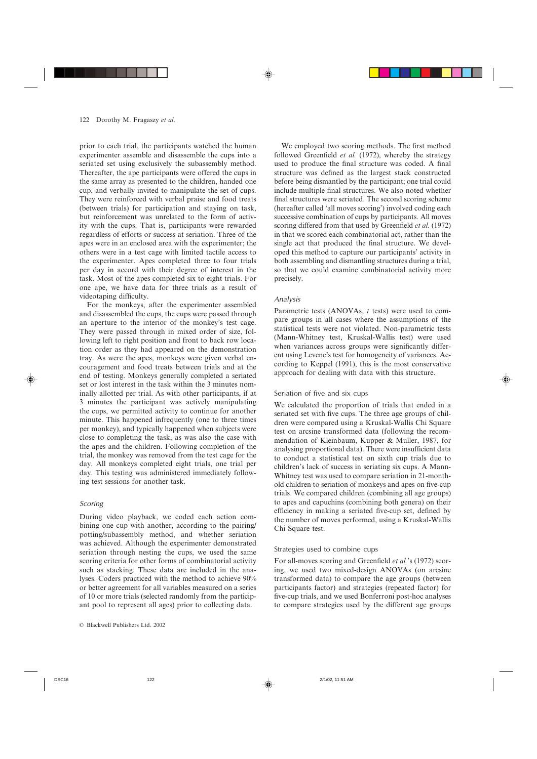prior to each trial, the participants watched the human experimenter assemble and disassemble the cups into a seriated set using exclusively the subassembly method. Thereafter, the ape participants were offered the cups in the same array as presented to the children, handed one cup, and verbally invited to manipulate the set of cups. They were reinforced with verbal praise and food treats (between trials) for participation and staying on task, but reinforcement was unrelated to the form of activity with the cups. That is, participants were rewarded regardless of efforts or success at seriation. Three of the apes were in an enclosed area with the experimenter; the others were in a test cage with limited tactile access to the experimenter. Apes completed three to four trials per day in accord with their degree of interest in the task. Most of the apes completed six to eight trials. For one ape, we have data for three trials as a result of videotaping difficulty.

For the monkeys, after the experimenter assembled and disassembled the cups, the cups were passed through an aperture to the interior of the monkey's test cage. They were passed through in mixed order of size, following left to right position and front to back row location order as they had appeared on the demonstration tray. As were the apes, monkeys were given verbal encouragement and food treats between trials and at the end of testing. Monkeys generally completed a seriated set or lost interest in the task within the 3 minutes nominally allotted per trial. As with other participants, if at 3 minutes the participant was actively manipulating the cups, we permitted activity to continue for another minute. This happened infrequently (one to three times per monkey), and typically happened when subjects were close to completing the task, as was also the case with the apes and the children. Following completion of the trial, the monkey was removed from the test cage for the day. All monkeys completed eight trials, one trial per day. This testing was administered immediately following test sessions for another task.

#### **Scoring**

During video playback, we coded each action combining one cup with another, according to the pairing/ potting/subassembly method, and whether seriation was achieved. Although the experimenter demonstrated seriation through nesting the cups, we used the same scoring criteria for other forms of combinatorial activity such as stacking. These data are included in the analyses. Coders practiced with the method to achieve 90% or better agreement for all variables measured on a series of 10 or more trials (selected randomly from the participant pool to represent all ages) prior to collecting data.

We employed two scoring methods. The first method followed Greenfield *et al.* (1972), whereby the strategy used to produce the final structure was coded. A final structure was defined as the largest stack constructed before being dismantled by the participant; one trial could include multiple final structures. We also noted whether final structures were seriated. The second scoring scheme (hereafter called 'all moves scoring') involved coding each successive combination of cups by participants. All moves scoring differed from that used by Greenfield *et al.* (1972) in that we scored each combinatorial act, rather than the single act that produced the final structure. We developed this method to capture our participants' activity in both assembling and dismantling structures during a trial, so that we could examine combinatorial activity more precisely.

#### Analysis

Parametric tests (ANOVAs, *t* tests) were used to compare groups in all cases where the assumptions of the statistical tests were not violated. Non-parametric tests (Mann-Whitney test, Kruskal-Wallis test) were used when variances across groups were significantly different using Levene's test for homogeneity of variances. According to Keppel (1991), this is the most conservative approach for dealing with data with this structure.

#### Seriation of five and six cups

We calculated the proportion of trials that ended in a seriated set with five cups. The three age groups of children were compared using a Kruskal-Wallis Chi Square test on arcsine transformed data (following the recommendation of Kleinbaum, Kupper & Muller, 1987, for analysing proportional data). There were insufficient data to conduct a statistical test on sixth cup trials due to children's lack of success in seriating six cups. A Mann-Whitney test was used to compare seriation in 21-monthold children to seriation of monkeys and apes on five-cup trials. We compared children (combining all age groups) to apes and capuchins (combining both genera) on their efficiency in making a seriated five-cup set, defined by the number of moves performed, using a Kruskal-Wallis Chi Square test.

#### Strategies used to combine cups

For all-moves scoring and Greenfield *et al.*'s (1972) scoring, we used two mixed-design ANOVAs (on arcsine transformed data) to compare the age groups (between participants factor) and strategies (repeated factor) for five-cup trials, and we used Bonferroni post-hoc analyses to compare strategies used by the different age groups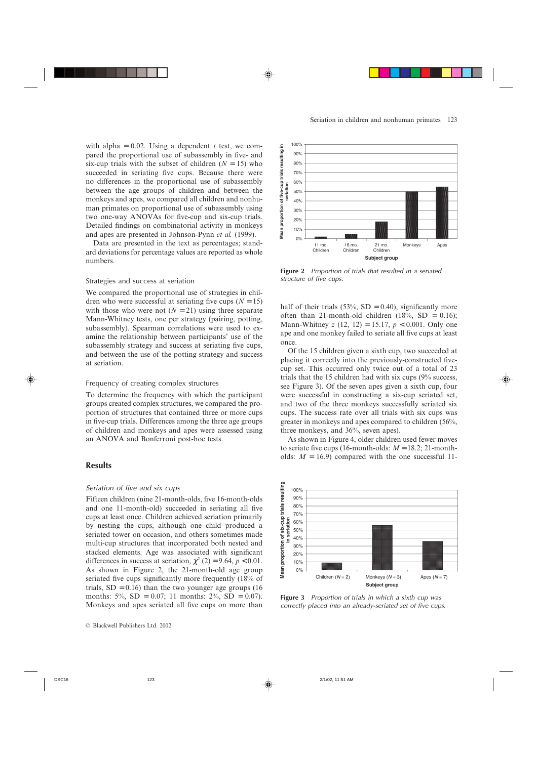with alpha =  $0.02$ . Using a dependent *t* test, we compared the proportional use of subassembly in five- and six-cup trials with the subset of children  $(N = 15)$  who succeeded in seriating five cups. Because there were no differences in the proportional use of subassembly between the age groups of children and between the monkeys and apes, we compared all children and nonhuman primates on proportional use of subassembly using two one-way ANOVAs for five-cup and six-cup trials. Detailed findings on combinatorial activity in monkeys and apes are presented in Johnson-Pynn *et al.* (1999).

Data are presented in the text as percentages; standard deviations for percentage values are reported as whole numbers.

#### Strategies and success at seriation

We compared the proportional use of strategies in children who were successful at seriating five cups  $(N = 15)$ with those who were not  $(N = 21)$  using three separate Mann-Whitney tests, one per strategy (pairing, potting, subassembly). Spearman correlations were used to examine the relationship between participants' use of the subassembly strategy and success at seriating five cups, and between the use of the potting strategy and success at seriation.

#### Frequency of creating complex structures

To determine the frequency with which the participant groups created complex structures, we compared the proportion of structures that contained three or more cups in five-cup trials. Differences among the three age groups of children and monkeys and apes were assessed using an ANOVA and Bonferroni post-hoc tests.

## **Results**

#### Seriation of five and six cups

Fifteen children (nine 21-month-olds, five 16-month-olds and one 11-month-old) succeeded in seriating all five cups at least once. Children achieved seriation primarily by nesting the cups, although one child produced a seriated tower on occasion, and others sometimes made multi-cup structures that incorporated both nested and stacked elements. Age was associated with significant differences in success at seriation,  $\chi^2$  (2) = 9.64, *p* < 0.01. As shown in Figure 2, the 21-month-old age group seriated five cups significantly more frequently (18% of trials,  $SD = 0.16$ ) than the two younger age groups (16) months:  $5\%, SD = 0.07; 11$  months:  $2\%, SD = 0.07$ . Monkeys and apes seriated all five cups on more than



**Figure 2** Proportion of trials that resulted in a seriated structure of five cups.

half of their trials  $(53\%, SD = 0.40)$ , significantly more often than 21-month-old children  $(18\%, SD = 0.16)$ ; Mann-Whitney *z* (12, 12) = 15.17, *p* < 0.001. Only one ape and one monkey failed to seriate all five cups at least once.

Of the 15 children given a sixth cup, two succeeded at placing it correctly into the previously-constructed fivecup set. This occurred only twice out of a total of 23 trials that the 15 children had with six cups (9% success, see Figure 3). Of the seven apes given a sixth cup, four were successful in constructing a six-cup seriated set, and two of the three monkeys successfully seriated six cups. The success rate over all trials with six cups was greater in monkeys and apes compared to children (56%, three monkeys, and 36%, seven apes).

As shown in Figure 4, older children used fewer moves to seriate five cups (16-month-olds:  $M = 18.2$ ; 21-montholds:  $M = 16.9$ ) compared with the one successful 11-



**Figure 3** Proportion of trials in which a sixth cup was correctly placed into an already-seriated set of five cups.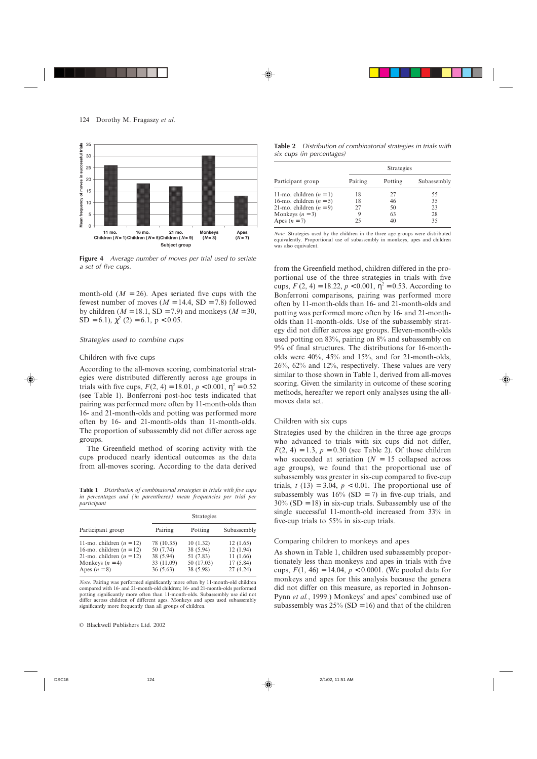

**Figure 4** Average number of moves per trial used to seriate a set of five cups.

month-old  $(M = 26)$ . Apes seriated five cups with the fewest number of moves  $(M = 14.4, SD = 7.8)$  followed by children ( $M = 18.1$ , SD = 7.9) and monkeys ( $M = 30$ ,  $SD = 6.1$ ),  $\chi^2$  (2) = 6.1, p < 0.05.

#### Strategies used to combine cups

#### Children with five cups

According to the all-moves scoring, combinatorial strategies were distributed differently across age groups in trials with five cups,  $F(2, 4) = 18.01$ ,  $p < 0.001$ ,  $\eta^2 = 0.52$ (see Table 1). Bonferroni post-hoc tests indicated that pairing was performed more often by 11-month-olds than 16- and 21-month-olds and potting was performed more often by 16- and 21-month-olds than 11-month-olds. The proportion of subassembly did not differ across age groups.

The Greenfield method of scoring activity with the cups produced nearly identical outcomes as the data from all-moves scoring. According to the data derived

**Table 1** *Distribution of combinatorial strategies in trials with five cups in percentages and (in parentheses) mean frequencies per trial per participant*

| Participant group                                                                                                             | Strategies                                                     |                                                               |                                                          |
|-------------------------------------------------------------------------------------------------------------------------------|----------------------------------------------------------------|---------------------------------------------------------------|----------------------------------------------------------|
|                                                                                                                               | Pairing                                                        | Potting                                                       | Subassembly                                              |
| 11-mo. children $(n = 12)$<br>16-mo. children $(n = 12)$<br>21-mo. children $(n = 12)$<br>Monkeys $(n = 4)$<br>Apes $(n = 8)$ | 78 (10.35)<br>50 (7.74)<br>38 (5.94)<br>33 (11.09)<br>36(5.63) | 10(1.32)<br>38 (5.94)<br>51 (7.83)<br>50 (17.03)<br>38 (5.98) | 12(1.65)<br>12(1.94)<br>11(1.66)<br>17(5.84)<br>27(4.24) |

*Note*. Pairing was performed significantly more often by 11-month-old children compared with 16- and 21-month-old children; 16- and 21-month-olds performed potting significantly more often than 11-month-olds. Subassembly use did not differ across children of different ages. Monkeys and apes used subassembly significantly more frequently than all groups of children.

**Table 2** Distribution of combinatorial strategies in trials with six cups (in percentages)

| Participant group         | Strategies |         |             |
|---------------------------|------------|---------|-------------|
|                           | Pairing    | Potting | Subassembly |
| 11-mo. children $(n = 1)$ | 18         | 27      | 55          |
| 16-mo. children $(n = 5)$ | 18         | 46      | 35          |
| 21-mo. children $(n = 9)$ | 27         | 50      | 23          |
| Monkeys $(n = 3)$         | 9          | 63      | 28          |
| Apes $(n = 7)$            | 25         | 40      | 35          |

*Note.* Strategies used by the children in the three age groups were distributed equivalently. Proportional use of subassembly in monkeys, apes and children was also equivalent.

from the Greenfield method, children differed in the proportional use of the three strategies in trials with five cups,  $F(2, 4) = 18.22, p < 0.001, \eta^2 = 0.53$ . According to Bonferroni comparisons, pairing was performed more often by 11-month-olds than 16- and 21-month-olds and potting was performed more often by 16- and 21-montholds than 11-month-olds. Use of the subassembly strategy did not differ across age groups. Eleven-month-olds used potting on 83%, pairing on 8% and subassembly on 9% of final structures. The distributions for 16-montholds were 40%, 45% and 15%, and for 21-month-olds, 26%, 62% and 12%, respectively. These values are very similar to those shown in Table 1, derived from all-moves scoring. Given the similarity in outcome of these scoring methods, hereafter we report only analyses using the allmoves data set.

#### Children with six cups

Strategies used by the children in the three age groups who advanced to trials with six cups did not differ,  $F(2, 4) = 1.3, p = 0.30$  (see Table 2). Of those children who succeeded at seriation  $(N = 15$  collapsed across age groups), we found that the proportional use of subassembly was greater in six-cup compared to five-cup trials,  $t(13) = 3.04$ ,  $p < 0.01$ . The proportional use of subassembly was  $16\%$  (SD = 7) in five-cup trials, and  $30\%$  (SD = 18) in six-cup trials. Subassembly use of the single successful 11-month-old increased from 33% in five-cup trials to 55% in six-cup trials.

#### Comparing children to monkeys and apes

As shown in Table 1, children used subassembly proportionately less than monkeys and apes in trials with five cups,  $F(1, 46) = 14.04$ ,  $p < 0.0001$ . (We pooled data for monkeys and apes for this analysis because the genera did not differ on this measure, as reported in Johnson-Pynn *et al.*, 1999.) Monkeys' and apes' combined use of subassembly was  $25\%$  (SD = 16) and that of the children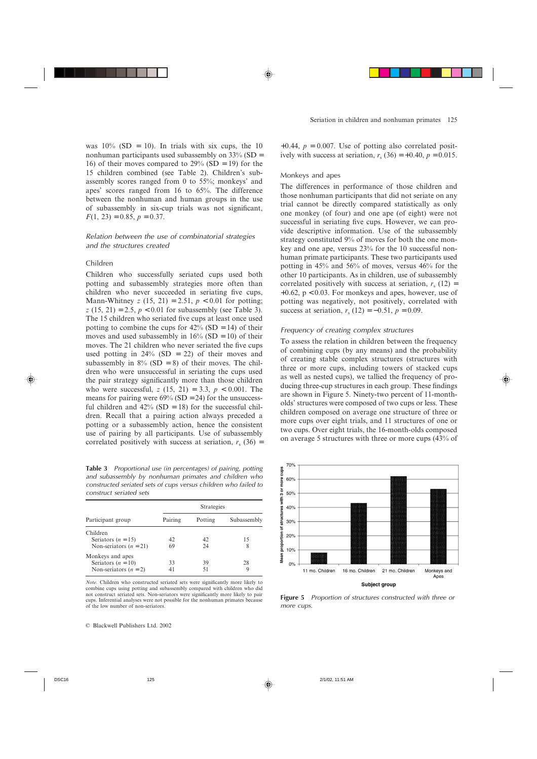was  $10\%$  (SD = 10). In trials with six cups, the 10 nonhuman participants used subassembly on  $33\%$  (SD = 16) of their moves compared to  $29\%$  (SD = 19) for the 15 children combined (see Table 2). Children's subassembly scores ranged from 0 to 55%; monkeys' and apes' scores ranged from 16 to 65%. The difference between the nonhuman and human groups in the use of subassembly in six-cup trials was not significant,  $F(1, 23) = 0.85, p = 0.37.$ 

### Relation between the use of combinatorial strategies and the structures created

#### Children

Children who successfully seriated cups used both potting and subassembly strategies more often than children who never succeeded in seriating five cups, Mann-Whitney *z* (15, 21) = 2.51, *p* < 0.01 for potting;  $z(15, 21) = 2.5, p < 0.01$  for subassembly (see Table 3). The 15 children who seriated five cups at least once used potting to combine the cups for  $42\%$  (SD = 14) of their moves and used subassembly in  $16\%$  (SD = 10) of their moves. The 21 children who never seriated the five cups used potting in  $24\%$  (SD = 22) of their moves and subassembly in  $8\%$  (SD = 8) of their moves. The children who were unsuccessful in seriating the cups used the pair strategy significantly more than those children who were successful,  $z(15, 21) = 3.3$ ,  $p < 0.001$ . The means for pairing were  $69\%$  (SD = 24) for the unsuccessful children and  $42\%$  (SD = 18) for the successful children. Recall that a pairing action always preceded a potting or a subassembly action, hence the consistent use of pairing by all participants. Use of subassembly correlated positively with success at seriation,  $r_s$  (36) =

**Table 3** Proportional use (in percentages) of pairing, potting and subassembly by nonhuman primates and children who constructed seriated sets of cups versus children who failed to construct seriated sets

| Participant group        | <b>Strategies</b> |         |             |  |
|--------------------------|-------------------|---------|-------------|--|
|                          | Pairing           | Potting | Subassembly |  |
| Children                 |                   |         |             |  |
| Seriators ( $n = 15$ )   | 42                | 42      | 15          |  |
| Non-seriators $(n = 21)$ | 69                | 24      | 8           |  |
| Monkeys and apes         |                   |         |             |  |
| Seriators ( $n = 10$ )   | 33                | 39      | 28          |  |
| Non-seriators $(n = 2)$  | 41                | 51      | 9           |  |

*Note.* Children who constructed seriated sets were significantly more likely to combine cups using potting and subassembly compared with children who did not construct seriated sets. Non-seriators were significantly more likely to pair cups. Inferential analyses were not possible for the nonhuman primates because of the low number of non-seriators.

 $+0.44$ ,  $p = 0.007$ . Use of potting also correlated positively with success at seriation,  $r_s$  (36) = +0.40,  $p = 0.015$ .

#### Monkeys and apes

The differences in performance of those children and those nonhuman participants that did not seriate on any trial cannot be directly compared statistically as only one monkey (of four) and one ape (of eight) were not successful in seriating five cups. However, we can provide descriptive information. Use of the subassembly strategy constituted 9% of moves for both the one monkey and one ape, versus 23% for the 10 successful nonhuman primate participants. These two participants used potting in 45% and 56% of moves, versus 46% for the other 10 participants. As in children, use of subassembly correlated positively with success at seriation,  $r_s$  (12) =  $+0.62$ ,  $p < 0.03$ . For monkeys and apes, however, use of potting was negatively, not positively, correlated with success at seriation,  $r_s$  (12) = -0.51,  $p = 0.09$ .

#### Frequency of creating complex structures

To assess the relation in children between the frequency of combining cups (by any means) and the probability of creating stable complex structures (structures with three or more cups, including towers of stacked cups as well as nested cups), we tallied the frequency of producing three-cup structures in each group. These findings are shown in Figure 5. Ninety-two percent of 11-montholds' structures were composed of two cups or less. These children composed on average one structure of three or more cups over eight trials, and 11 structures of one or two cups. Over eight trials, the 16-month-olds composed on average 5 structures with three or more cups (43% of



**Figure 5** Proportion of structures constructed with three or more cups.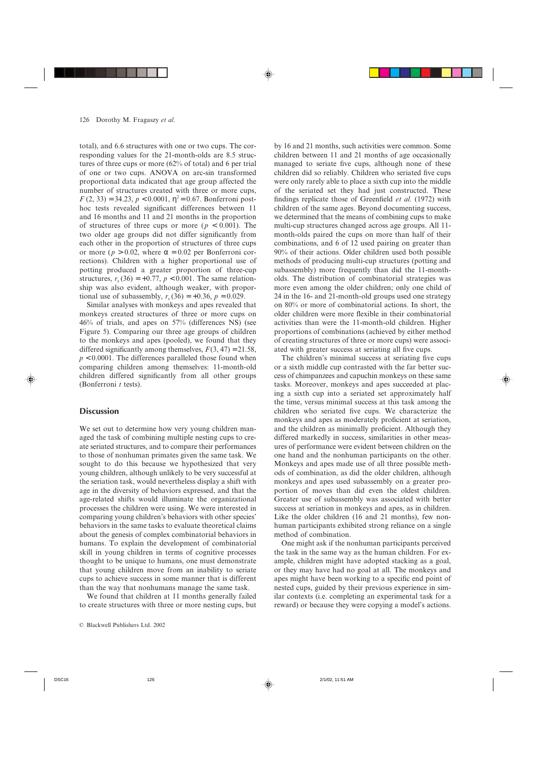total), and 6.6 structures with one or two cups. The corresponding values for the 21-month-olds are 8.5 structures of three cups or more (62% of total) and 6 per trial of one or two cups. ANOVA on arc-sin transformed proportional data indicated that age group affected the number of structures created with three or more cups,  $F(2, 33) = 34.23, p < 0.0001, \eta^2 = 0.67$ . Bonferroni posthoc tests revealed significant differences between 11 and 16 months and 11 and 21 months in the proportion of structures of three cups or more ( $p < 0.001$ ). The two older age groups did not differ significantly from each other in the proportion of structures of three cups or more ( $p > 0.02$ , where  $\alpha = 0.02$  per Bonferroni corrections). Children with a higher proportional use of potting produced a greater proportion of three-cup structures,  $r_s$  (36) = +0.77,  $p < 0.001$ . The same relationship was also evident, although weaker, with proportional use of subassembly,  $r_s$  (36) = +0.36,  $p = 0.029$ .

Similar analyses with monkeys and apes revealed that monkeys created structures of three or more cups on 46% of trials, and apes on 57% (differences NS) (see Figure 5). Comparing our three age groups of children to the monkeys and apes (pooled), we found that they differed significantly among themselves,  $F(3, 47) = 21.58$ ,  $p < 0.0001$ . The differences paralleled those found when comparing children among themselves: 11-month-old children differed significantly from all other groups (Bonferroni *t* tests).

## **Discussion**

We set out to determine how very young children managed the task of combining multiple nesting cups to create seriated structures, and to compare their performances to those of nonhuman primates given the same task. We sought to do this because we hypothesized that very young children, although unlikely to be very successful at the seriation task, would nevertheless display a shift with age in the diversity of behaviors expressed, and that the age-related shifts would illuminate the organizational processes the children were using. We were interested in comparing young children's behaviors with other species' behaviors in the same tasks to evaluate theoretical claims about the genesis of complex combinatorial behaviors in humans. To explain the development of combinatorial skill in young children in terms of cognitive processes thought to be unique to humans, one must demonstrate that young children move from an inability to seriate cups to achieve success in some manner that is different than the way that nonhumans manage the same task.

We found that children at 11 months generally failed to create structures with three or more nesting cups, but by 16 and 21 months, such activities were common. Some children between 11 and 21 months of age occasionally managed to seriate five cups, although none of these children did so reliably. Children who seriated five cups were only rarely able to place a sixth cup into the middle of the seriated set they had just constructed. These findings replicate those of Greenfield *et al.* (1972) with children of the same ages. Beyond documenting success, we determined that the means of combining cups to make multi-cup structures changed across age groups. All 11 month-olds paired the cups on more than half of their combinations, and 6 of 12 used pairing on greater than 90% of their actions. Older children used both possible methods of producing multi-cup structures (potting and subassembly) more frequently than did the 11-montholds. The distribution of combinatorial strategies was more even among the older children; only one child of 24 in the 16- and 21-month-old groups used one strategy on 80% or more of combinatorial actions. In short, the older children were more flexible in their combinatorial activities than were the 11-month-old children. Higher proportions of combinations (achieved by either method of creating structures of three or more cups) were associated with greater success at seriating all five cups.

The children's minimal success at seriating five cups or a sixth middle cup contrasted with the far better success of chimpanzees and capuchin monkeys on these same tasks. Moreover, monkeys and apes succeeded at placing a sixth cup into a seriated set approximately half the time, versus minimal success at this task among the children who seriated five cups. We characterize the monkeys and apes as moderately proficient at seriation, and the children as minimally proficient. Although they differed markedly in success, similarities in other measures of performance were evident between children on the one hand and the nonhuman participants on the other. Monkeys and apes made use of all three possible methods of combination, as did the older children, although monkeys and apes used subassembly on a greater proportion of moves than did even the oldest children. Greater use of subassembly was associated with better success at seriation in monkeys and apes, as in children. Like the older children (16 and 21 months), few nonhuman participants exhibited strong reliance on a single method of combination.

One might ask if the nonhuman participants perceived the task in the same way as the human children. For example, children might have adopted stacking as a goal, or they may have had no goal at all. The monkeys and apes might have been working to a specific end point of nested cups, guided by their previous experience in similar contexts (i.e. completing an experimental task for a reward) or because they were copying a model's actions.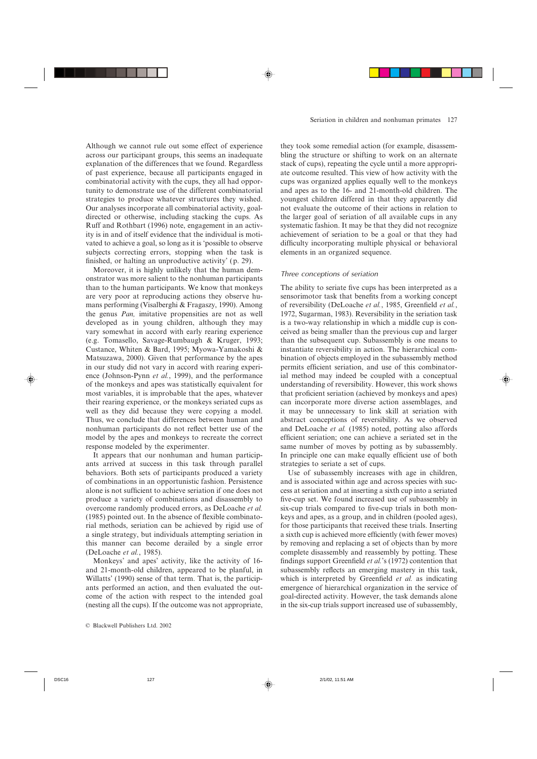Although we cannot rule out some effect of experience across our participant groups, this seems an inadequate explanation of the differences that we found. Regardless of past experience, because all participants engaged in combinatorial activity with the cups, they all had opportunity to demonstrate use of the different combinatorial strategies to produce whatever structures they wished. Our analyses incorporate all combinatorial activity, goaldirected or otherwise, including stacking the cups. As Ruff and Rothbart (1996) note, engagement in an activity is in and of itself evidence that the individual is motivated to achieve a goal, so long as it is 'possible to observe subjects correcting errors, stopping when the task is finished, or halting an unproductive activity' (p. 29).

Moreover, it is highly unlikely that the human demonstrator was more salient to the nonhuman participants than to the human participants. We know that monkeys are very poor at reproducing actions they observe humans performing (Visalberghi & Fragaszy, 1990). Among the genus *Pan,* imitative propensities are not as well developed as in young children, although they may vary somewhat in accord with early rearing experience (e.g. Tomasello, Savage-Rumbaugh & Kruger, 1993; Custance, Whiten & Bard, 1995; Myowa-Yamakoshi & Matsuzawa, 2000). Given that performance by the apes in our study did not vary in accord with rearing experience (Johnson-Pynn *et al.*, 1999), and the performance of the monkeys and apes was statistically equivalent for most variables, it is improbable that the apes, whatever their rearing experience, or the monkeys seriated cups as well as they did because they were copying a model. Thus, we conclude that differences between human and nonhuman participants do not reflect better use of the model by the apes and monkeys to recreate the correct response modeled by the experimenter.

It appears that our nonhuman and human participants arrived at success in this task through parallel behaviors. Both sets of participants produced a variety of combinations in an opportunistic fashion. Persistence alone is not sufficient to achieve seriation if one does not produce a variety of combinations and disassembly to overcome randomly produced errors, as DeLoache *et al.* (1985) pointed out. In the absence of flexible combinatorial methods, seriation can be achieved by rigid use of a single strategy, but individuals attempting seriation in this manner can become derailed by a single error (DeLoache *et al.*, 1985).

Monkeys' and apes' activity, like the activity of 16 and 21-month-old children, appeared to be planful, in Willatts' (1990) sense of that term. That is, the participants performed an action, and then evaluated the outcome of the action with respect to the intended goal (nesting all the cups). If the outcome was not appropriate, they took some remedial action (for example, disassembling the structure or shifting to work on an alternate stack of cups), repeating the cycle until a more appropriate outcome resulted. This view of how activity with the cups was organized applies equally well to the monkeys and apes as to the 16- and 21-month-old children. The youngest children differed in that they apparently did not evaluate the outcome of their actions in relation to the larger goal of seriation of all available cups in any systematic fashion. It may be that they did not recognize achievement of seriation to be a goal or that they had difficulty incorporating multiple physical or behavioral elements in an organized sequence.

#### Three conceptions of seriation

The ability to seriate five cups has been interpreted as a sensorimotor task that benefits from a working concept of reversibility (DeLoache *et al.*, 1985, Greenfield *et al.*, 1972, Sugarman, 1983). Reversibility in the seriation task is a two-way relationship in which a middle cup is conceived as being smaller than the previous cup and larger than the subsequent cup. Subassembly is one means to instantiate reversibility in action. The hierarchical combination of objects employed in the subassembly method permits efficient seriation, and use of this combinatorial method may indeed be coupled with a conceptual understanding of reversibility. However, this work shows that proficient seriation (achieved by monkeys and apes) can incorporate more diverse action assemblages, and it may be unnecessary to link skill at seriation with abstract conceptions of reversibility. As we observed and DeLoache *et al.* (1985) noted, potting also affords efficient seriation; one can achieve a seriated set in the same number of moves by potting as by subassembly. In principle one can make equally efficient use of both strategies to seriate a set of cups.

Use of subassembly increases with age in children, and is associated within age and across species with success at seriation and at inserting a sixth cup into a seriated five-cup set. We found increased use of subassembly in six-cup trials compared to five-cup trials in both monkeys and apes, as a group, and in children (pooled ages), for those participants that received these trials. Inserting a sixth cup is achieved more efficiently (with fewer moves) by removing and replacing a set of objects than by more complete disassembly and reassembly by potting. These findings support Greenfield *et al.*'s (1972) contention that subassembly reflects an emerging mastery in this task, which is interpreted by Greenfield *et al.* as indicating emergence of hierarchical organization in the service of goal-directed activity. However, the task demands alone in the six-cup trials support increased use of subassembly,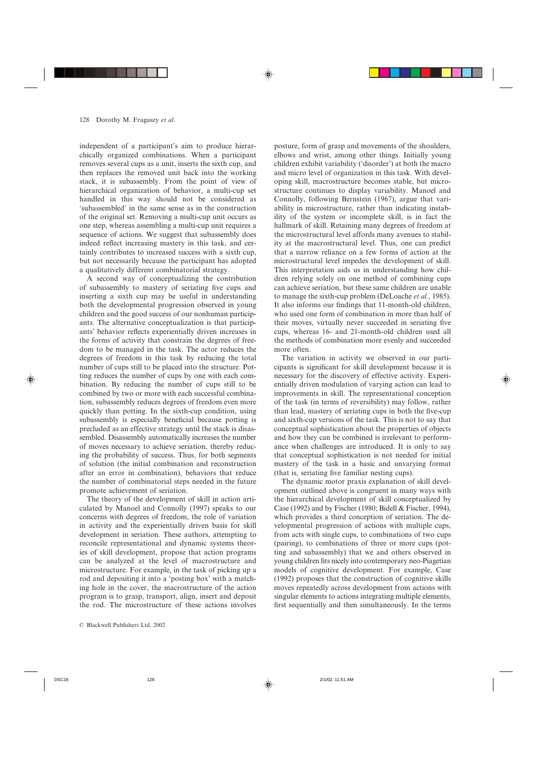independent of a participant's aim to produce hierarchically organized combinations. When a participant removes several cups as a unit, inserts the sixth cup, and then replaces the removed unit back into the working stack, it is subassembly. From the point of view of hierarchical organization of behavior, a multi-cup set handled in this way should not be considered as 'subassembled' in the same sense as in the construction of the original set. Removing a multi-cup unit occurs as one step, whereas assembling a multi-cup unit requires a sequence of actions. We suggest that subassembly does indeed reflect increasing mastery in this task, and certainly contributes to increased success with a sixth cup, but not necessarily because the participant has adopted a qualitatively different combinatorial strategy.

A second way of conceptualizing the contribution of subassembly to mastery of seriating five cups and inserting a sixth cup may be useful in understanding both the developmental progression observed in young children and the good success of our nonhuman participants. The alternative conceptualization is that participants' behavior reflects experientially driven increases in the forms of activity that constrain the degrees of freedom to be managed in the task. The actor reduces the degrees of freedom in this task by reducing the total number of cups still to be placed into the structure. Potting reduces the number of cups by one with each combination. By reducing the number of cups still to be combined by two or more with each successful combination, subassembly reduces degrees of freedom even more quickly than potting. In the sixth-cup condition, using subassembly is especially beneficial because potting is precluded as an effective strategy until the stack is disassembled. Disassembly automatically increases the number of moves necessary to achieve seriation, thereby reducing the probability of success. Thus, for both segments of solution (the initial combination and reconstruction after an error in combination), behaviors that reduce the number of combinatorial steps needed in the future promote achievement of seriation.

The theory of the development of skill in action articulated by Manoel and Connolly (1997) speaks to our concerns with degrees of freedom, the role of variation in activity and the experientially driven basis for skill development in seriation. These authors, attempting to reconcile representational and dynamic systems theories of skill development, propose that action programs can be analyzed at the level of macrostructure and microstructure. For example, in the task of picking up a rod and depositing it into a 'posting box' with a matching hole in the cover, the macrostructure of the action program is to grasp, transport, align, insert and deposit the rod. The microstructure of these actions involves posture, form of grasp and movements of the shoulders, elbows and wrist, among other things. Initially young children exhibit variability ('disorder') at both the macro and micro level of organization in this task. With developing skill, macrostructure becomes stable, but microstructure continues to display variability. Manoel and Connolly, following Bernstein (1967), argue that variability in microstructure, rather than indicating instability of the system or incomplete skill, is in fact the hallmark of skill. Retaining many degrees of freedom at the microstructural level affords many avenues to stability at the macrostructural level. Thus, one can predict that a narrow reliance on a few forms of action at the microstructural level impedes the development of skill. This interpretation aids us in understanding how children relying solely on one method of combining cups can achieve seriation, but these same children are unable to manage the sixth-cup problem (DeLoache *et al.*, 1985). It also informs our findings that 11-month-old children, who used one form of combination in more than half of their moves, virtually never succeeded in seriating five cups, whereas 16- and 21-month-old children used all the methods of combination more evenly and succeeded more often.

The variation in activity we observed in our participants is significant for skill development because it is necessary for the discovery of effective activity. Experientially driven modulation of varying action can lead to improvements in skill. The representational conception of the task (in terms of reversibility) may follow, rather than lead, mastery of seriating cups in both the five-cup and sixth-cup versions of the task. This is not to say that conceptual sophistication about the properties of objects and how they can be combined is irrelevant to performance when challenges are introduced. It is only to say that conceptual sophistication is not needed for initial mastery of the task in a basic and unvarying format (that is, seriating five familiar nesting cups).

The dynamic motor praxis explanation of skill development outlined above is congruent in many ways with the hierarchical development of skill conceptualized by Case (1992) and by Fischer (1980; Bidell & Fischer, 1994), which provides a third conception of seriation. The developmental progression of actions with multiple cups, from acts with single cups, to combinations of two cups (pairing), to combinations of three or more cups (potting and subassembly) that we and others observed in young children fits nicely into contemporary neo-Piagetian models of cognitive development. For example, Case (1992) proposes that the construction of cognitive skills moves repeatedly across development from actions with singular elements to actions integrating multiple elements, first sequentially and then simultaneously. In the terms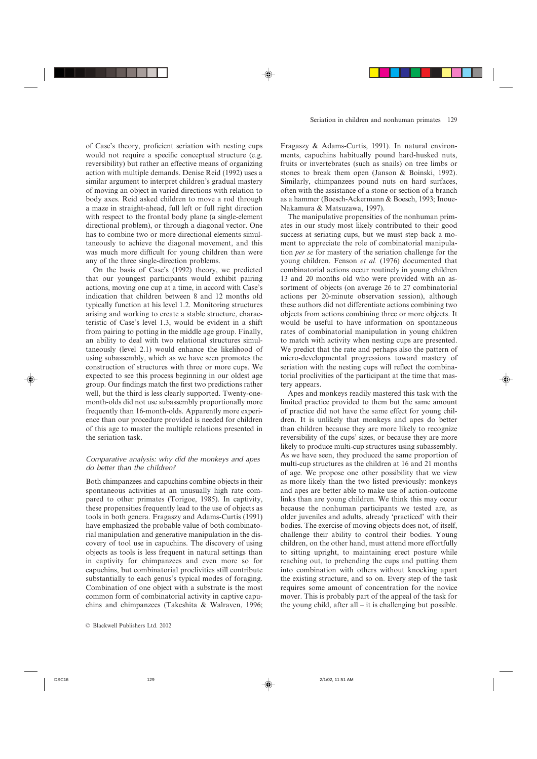of Case's theory, proficient seriation with nesting cups would not require a specific conceptual structure (e.g. reversibility) but rather an effective means of organizing action with multiple demands. Denise Reid (1992) uses a similar argument to interpret children's gradual mastery of moving an object in varied directions with relation to body axes. Reid asked children to move a rod through a maze in straight-ahead, full left or full right direction with respect to the frontal body plane (a single-element directional problem), or through a diagonal vector. One has to combine two or more directional elements simultaneously to achieve the diagonal movement, and this was much more difficult for young children than were any of the three single-direction problems.

On the basis of Case's (1992) theory, we predicted that our youngest participants would exhibit pairing actions, moving one cup at a time, in accord with Case's indication that children between 8 and 12 months old typically function at his level 1.2. Monitoring structures arising and working to create a stable structure, characteristic of Case's level 1.3, would be evident in a shift from pairing to potting in the middle age group. Finally, an ability to deal with two relational structures simultaneously (level 2.1) would enhance the likelihood of using subassembly, which as we have seen promotes the construction of structures with three or more cups. We expected to see this process beginning in our oldest age group. Our findings match the first two predictions rather well, but the third is less clearly supported. Twenty-onemonth-olds did not use subassembly proportionally more frequently than 16-month-olds. Apparently more experience than our procedure provided is needed for children of this age to master the multiple relations presented in the seriation task.

## Comparative analysis: why did the monkeys and apes do better than the children?

Both chimpanzees and capuchins combine objects in their spontaneous activities at an unusually high rate compared to other primates (Torigoe, 1985). In captivity, these propensities frequently lead to the use of objects as tools in both genera. Fragaszy and Adams-Curtis (1991) have emphasized the probable value of both combinatorial manipulation and generative manipulation in the discovery of tool use in capuchins. The discovery of using objects as tools is less frequent in natural settings than in captivity for chimpanzees and even more so for capuchins, but combinatorial proclivities still contribute substantially to each genus's typical modes of foraging. Combination of one object with a substrate is the most common form of combinatorial activity in captive capuchins and chimpanzees (Takeshita & Walraven, 1996; Fragaszy & Adams-Curtis, 1991). In natural environments, capuchins habitually pound hard-husked nuts, fruits or invertebrates (such as snails) on tree limbs or stones to break them open (Janson & Boinski, 1992). Similarly, chimpanzees pound nuts on hard surfaces, often with the assistance of a stone or section of a branch as a hammer (Boesch-Ackermann & Boesch, 1993; Inoue-Nakamura & Matsuzawa, 1997).

The manipulative propensities of the nonhuman primates in our study most likely contributed to their good success at seriating cups, but we must step back a moment to appreciate the role of combinatorial manipulation *per se* for mastery of the seriation challenge for the young children. Fenson *et al.* (1976) documented that combinatorial actions occur routinely in young children 13 and 20 months old who were provided with an assortment of objects (on average 26 to 27 combinatorial actions per 20-minute observation session), although these authors did not differentiate actions combining two objects from actions combining three or more objects. It would be useful to have information on spontaneous rates of combinatorial manipulation in young children to match with activity when nesting cups are presented. We predict that the rate and perhaps also the pattern of micro-developmental progressions toward mastery of seriation with the nesting cups will reflect the combinatorial proclivities of the participant at the time that mastery appears.

Apes and monkeys readily mastered this task with the limited practice provided to them but the same amount of practice did not have the same effect for young children. It is unlikely that monkeys and apes do better than children because they are more likely to recognize reversibility of the cups' sizes, or because they are more likely to produce multi-cup structures using subassembly. As we have seen, they produced the same proportion of multi-cup structures as the children at 16 and 21 months of age. We propose one other possibility that we view as more likely than the two listed previously: monkeys and apes are better able to make use of action-outcome links than are young children. We think this may occur because the nonhuman participants we tested are, as older juveniles and adults, already 'practiced' with their bodies. The exercise of moving objects does not, of itself, challenge their ability to control their bodies. Young children, on the other hand, must attend more effortfully to sitting upright, to maintaining erect posture while reaching out, to prehending the cups and putting them into combination with others without knocking apart the existing structure, and so on. Every step of the task requires some amount of concentration for the novice mover. This is probably part of the appeal of the task for the young child, after all  $-$  it is challenging but possible.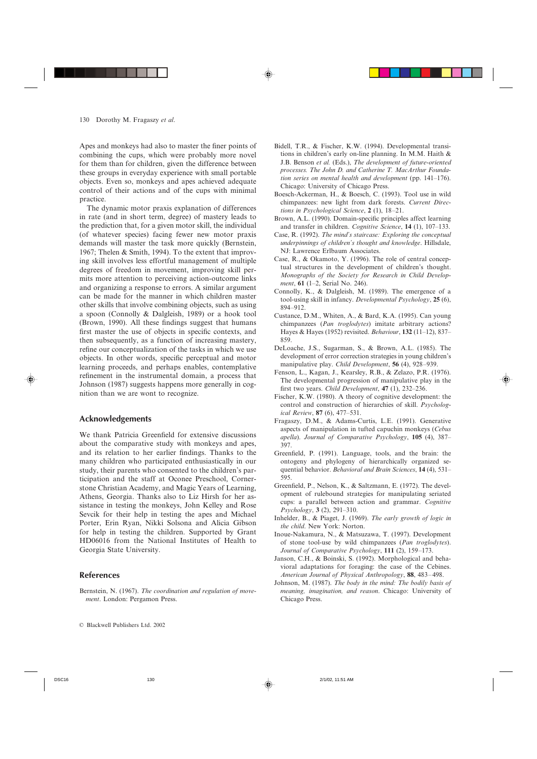Apes and monkeys had also to master the finer points of combining the cups, which were probably more novel for them than for children, given the difference between these groups in everyday experience with small portable objects. Even so, monkeys and apes achieved adequate control of their actions and of the cups with minimal practice.

The dynamic motor praxis explanation of differences in rate (and in short term, degree) of mastery leads to the prediction that, for a given motor skill, the individual (of whatever species) facing fewer new motor praxis demands will master the task more quickly (Bernstein, 1967; Thelen & Smith, 1994). To the extent that improving skill involves less effortful management of multiple degrees of freedom in movement, improving skill permits more attention to perceiving action-outcome links and organizing a response to errors. A similar argument can be made for the manner in which children master other skills that involve combining objects, such as using a spoon (Connolly & Dalgleish, 1989) or a hook tool (Brown, 1990). All these findings suggest that humans first master the use of objects in specific contexts, and then subsequently, as a function of increasing mastery, refine our conceptualization of the tasks in which we use objects. In other words, specific perceptual and motor learning proceeds, and perhaps enables, contemplative refinement in the instrumental domain, a process that Johnson (1987) suggests happens more generally in cognition than we are wont to recognize.

## **Acknowledgements**

We thank Patricia Greenfield for extensive discussions about the comparative study with monkeys and apes, and its relation to her earlier findings. Thanks to the many children who participated enthusiastically in our study, their parents who consented to the children's participation and the staff at Oconee Preschool, Cornerstone Christian Academy, and Magic Years of Learning, Athens, Georgia. Thanks also to Liz Hirsh for her assistance in testing the monkeys, John Kelley and Rose Sevcik for their help in testing the apes and Michael Porter, Erin Ryan, Nikki Solsona and Alicia Gibson for help in testing the children. Supported by Grant HD06016 from the National Institutes of Health to Georgia State University.

## **References**

Bernstein, N. (1967). *The coordination and regulation of movement*. London: Pergamon Press.

- Bidell, T.R., & Fischer, K.W. (1994). Developmental transitions in children's early on-line planning. In M.M. Haith & J.B. Benson *et al.* (Eds.), *The development of future-oriented processes. The John D. and Catherine T. MacArthur Foundation series on mental health and development* (pp. 141–176). Chicago: University of Chicago Press.
- Boesch-Ackerman, H., & Boesch, C. (1993). Tool use in wild chimpanzees: new light from dark forests. *Current Directions in Psychological Science*, **2** (1), 18–21.
- Brown, A.L. (1990). Domain-specific principles affect learning and transfer in children. *Cognitive Science*, **14** (1), 107–133.
- Case, R. (1992). *The mind's staircase: Exploring the conceptual underpinnings of children's thought and knowledge*. Hillsdale, NJ: Lawrence Erlbaum Associates.
- Case, R., & Okamoto, Y. (1996). The role of central conceptual structures in the development of children's thought. *Monographs of the Society for Research in Child Development*, **61** (1–2, Serial No. 246).
- Connolly, K., & Dalgleish, M. (1989). The emergence of a tool-using skill in infancy. *Developmental Psychology*, **25** (6), 894–912.
- Custance, D.M., Whiten, A., & Bard, K.A. (1995). Can young chimpanzees (*Pan troglodytes*) imitate arbitrary actions? Hayes & Hayes (1952) revisited. *Behaviour*, **132** (11–12), 837– 859.
- DeLoache, J.S., Sugarman, S., & Brown, A.L. (1985). The development of error correction strategies in young children's manipulative play. *Child Development*, **56** (4), 928–939.
- Fenson, L., Kagan, J., Kearsley, R.B., & Zelazo, P.R. (1976). The developmental progression of manipulative play in the first two years. *Child Development*, **47** (1), 232–236.
- Fischer, K.W. (1980). A theory of cognitive development: the control and construction of hierarchies of skill. *Psychological Review*, **87** (6), 477–531.
- Fragaszy, D.M., & Adams-Curtis, L.E. (1991). Generative aspects of manipulation in tufted capuchin monkeys (*Cebus apella*). *Journal of Comparative Psychology*, **105** (4), 387– 397.
- Greenfield, P. (1991). Language, tools, and the brain: the ontogeny and phylogeny of hierarchically organized sequential behavior. *Behavioral and Brain Sciences*, **14** (4), 531– 595.
- Greenfield, P., Nelson, K., & Saltzmann, E. (1972). The development of rulebound strategies for manipulating seriated cups: a parallel between action and grammar. *Cognitive Psychology*, **3** (2), 291–310.
- Inhelder, B., & Piaget, J. (1969). *The early growth of logic in the child*. New York: Norton.
- Inoue-Nakamura, N., & Matsuzawa, T. (1997). Development of stone tool-use by wild chimpanzees (*Pan troglodytes*). *Journal of Comparative Psychology*, **111** (2), 159–173.
- Janson, C.H., & Boinski, S. (1992). Morphological and behavioral adaptations for foraging: the case of the Cebines. *American Journal of Physical Anthropology*, **88**, 483–498.
- Johnson, M. (1987). *The body in the mind: The bodily basis of meaning, imagination, and reason*. Chicago: University of Chicago Press.